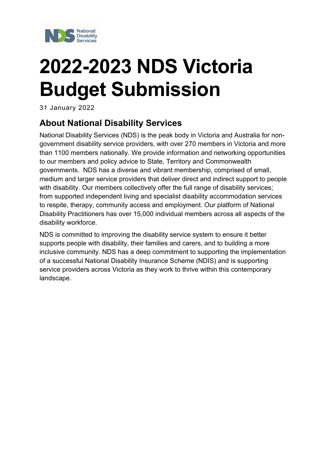

# **2022-2023 NDS Victoria Budget Submission**

31 January 2022

# <span id="page-0-0"></span>**About National Disability Services**

National Disability Services (NDS) is the peak body in Victoria and Australia for nongovernment disability service providers, with over 270 members in Victoria and more than 1100 members nationally. We provide information and networking opportunities to our members and policy advice to State, Territory and Commonwealth governments. NDS has a diverse and vibrant membership, comprised of small, medium and larger service providers that deliver direct and indirect support to people with disability. Our members collectively offer the full range of disability services; from supported independent living and specialist disability accommodation services to respite, therapy, community access and employment. Our platform of National Disability Practitioners has over 15,000 individual members across all aspects of the disability workforce.

NDS is committed to improving the disability service system to ensure it better supports people with disability, their families and carers, and to building a more inclusive community. NDS has a deep commitment to supporting the implementation of a successful National Disability Insurance Scheme (NDIS) and is supporting service providers across Victoria as they work to thrive within this contemporary landscape.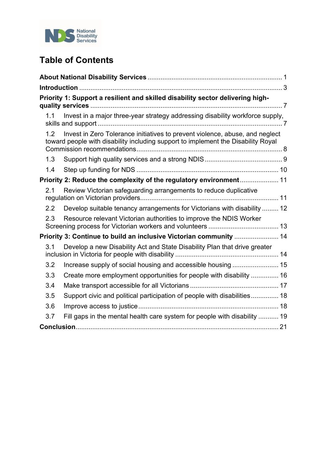

# **Table of Contents**

|               | Priority 1: Support a resilient and skilled disability sector delivering high-                                                                                    |
|---------------|-------------------------------------------------------------------------------------------------------------------------------------------------------------------|
| 1.1           | Invest in a major three-year strategy addressing disability workforce supply,                                                                                     |
| 1.2           | Invest in Zero Tolerance initiatives to prevent violence, abuse, and neglect<br>toward people with disability including support to implement the Disability Royal |
| 1.3           |                                                                                                                                                                   |
| 1.4           |                                                                                                                                                                   |
|               | Priority 2: Reduce the complexity of the regulatory environment 11                                                                                                |
| 2.1           | Review Victorian safeguarding arrangements to reduce duplicative                                                                                                  |
| $2.2^{\circ}$ | Develop suitable tenancy arrangements for Victorians with disability  12                                                                                          |
| 2.3           | Resource relevant Victorian authorities to improve the NDIS Worker                                                                                                |
|               | Priority 3: Continue to build an inclusive Victorian community  14                                                                                                |
| 3.1           | Develop a new Disability Act and State Disability Plan that drive greater                                                                                         |
| 3.2           |                                                                                                                                                                   |
| 3.3           | Create more employment opportunities for people with disability  16                                                                                               |
| 3.4           |                                                                                                                                                                   |
| 3.5           | Support civic and political participation of people with disabilities 18                                                                                          |
| 3.6           |                                                                                                                                                                   |
| 3.7           | Fill gaps in the mental health care system for people with disability  19                                                                                         |
|               |                                                                                                                                                                   |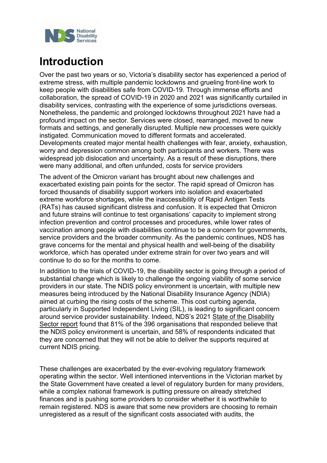

# <span id="page-2-0"></span>**Introduction**

Over the past two years or so, Victoria's disability sector has experienced a period of extreme stress, with multiple pandemic lockdowns and grueling front-line work to keep people with disabilities safe from COVID-19. Through immense efforts and collaboration, the spread of COVID-19 in 2020 and 2021 was significantly curtailed in disability services, contrasting with the experience of some jurisdictions overseas. Nonetheless, the pandemic and prolonged lockdowns throughout 2021 have had a profound impact on the sector. Services were closed, rearranged, moved to new formats and settings, and generally disrupted. Multiple new processes were quickly instigated. Communication moved to different formats and accelerated. Developments created major mental health challenges with fear, anxiety, exhaustion, worry and depression common among both participants and workers. There was widespread job dislocation and uncertainty. As a result of these disruptions, there were many additional, and often unfunded, costs for service providers

The advent of the Omicron variant has brought about new challenges and exacerbated existing pain points for the sector. The rapid spread of Omicron has forced thousands of disability support workers into isolation and exacerbated extreme workforce shortages, while the inaccessibility of Rapid Antigen Tests (RATs) has caused significant distress and confusion. It is expected that Omicron and future strains will continue to test organisations' capacity to implement strong infection prevention and control processes and procedures, while lower rates of vaccination among people with disabilities continue to be a concern for governments, service providers and the broader community. As the pandemic continues, NDS has grave concerns for the mental and physical health and well-being of the disability workforce, which has operated under extreme strain for over two years and will continue to do so for the months to come.

In addition to the trials of COVID-19, the disability sector is going through a period of substantial change which is likely to challenge the ongoing viability of some service providers in our state. The NDIS policy environment is uncertain, with multiple new measures being introduced by the National Disability Insurance Agency (NDIA) aimed at curbing the rising costs of the scheme. This cost curbing agenda, particularly in Supported Independent Living (SIL), is leading to significant concern around service provider sustainability. Indeed, NDS's 2021 [State of the Disability](https://www.nds.org.au/about/state-of-the-disability-sector-report)  [Sector report](https://www.nds.org.au/about/state-of-the-disability-sector-report) found that 81% of the 396 organisations that responded believe that the NDIS policy environment is uncertain, and 58% of respondents indicated that they are concerned that they will not be able to deliver the supports required at current NDIS pricing.

These challenges are exacerbated by the ever-evolving regulatory framework operating within the sector. Well intentioned interventions in the Victorian market by the State Government have created a level of regulatory burden for many providers, while a complex national framework is putting pressure on already stretched finances and is pushing some providers to consider whether it is worthwhile to remain registered. NDS is aware that some new providers are choosing to remain unregistered as a result of the significant costs associated with audits, the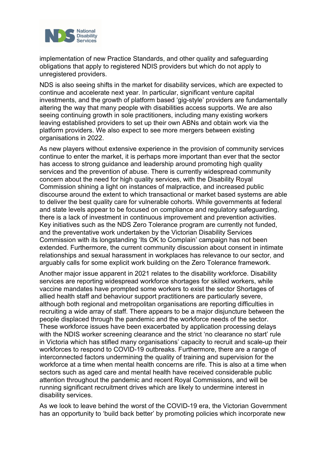

implementation of new Practice Standards, and other quality and safeguarding obligations that apply to registered NDIS providers but which do not apply to unregistered providers.

NDS is also seeing shifts in the market for disability services, which are expected to continue and accelerate next year. In particular, significant venture capital investments, and the growth of platform based 'gig-style' providers are fundamentally altering the way that many people with disabilities access supports. We are also seeing continuing growth in sole practitioners, including many existing workers leaving established providers to set up their own ABNs and obtain work via the platform providers. We also expect to see more mergers between existing organisations in 2022.

As new players without extensive experience in the provision of community services continue to enter the market, it is perhaps more important than ever that the sector has access to strong guidance and leadership around promoting high quality services and the prevention of abuse. There is currently widespread community concern about the need for high quality services, with the Disability Royal Commission shining a light on instances of malpractice, and increased public discourse around the extent to which transactional or market based systems are able to deliver the best quality care for vulnerable cohorts. While governments at federal and state levels appear to be focused on compliance and regulatory safeguarding, there is a lack of investment in continuous improvement and prevention activities. Key initiatives such as the NDS Zero Tolerance program are currently not funded, and the preventative work undertaken by the Victorian Disability Services Commission with its longstanding 'Its OK to Complain' campaign has not been extended. Furthermore, the current community discussion about consent in intimate relationships and sexual harassment in workplaces has relevance to our sector, and arguably calls for some explicit work building on the Zero Tolerance framework.

Another major issue apparent in 2021 relates to the disability workforce. Disability services are reporting widespread workforce shortages for skilled workers, while vaccine mandates have prompted some workers to exist the sector Shortages of allied health staff and behaviour support practitioners are particularly severe, although both regional and metropolitan organisations are reporting difficulties in recruiting a wide array of staff. There appears to be a major disjuncture between the people displaced through the pandemic and the workforce needs of the sector. These workforce issues have been exacerbated by application processing delays with the NDIS worker screening clearance and the strict 'no clearance no start' rule in Victoria which has stifled many organisations' capacity to recruit and scale-up their workforces to respond to COVID-19 outbreaks. Furthermore, there are a range of interconnected factors undermining the quality of training and supervision for the workforce at a time when mental health concerns are rife. This is also at a time when sectors such as aged care and mental health have received considerable public attention throughout the pandemic and recent Royal Commissions, and will be running significant recruitment drives which are likely to undermine interest in disability services.

As we look to leave behind the worst of the COVID-19 era, the Victorian Government has an opportunity to 'build back better' by promoting policies which incorporate new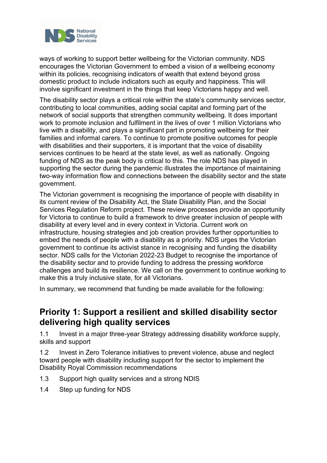

ways of working to support better wellbeing for the Victorian community. NDS encourages the Victorian Government to embed a vision of a wellbeing economy within its policies, recognising indicators of wealth that extend beyond gross domestic product to include indicators such as equity and happiness. This will involve significant investment in the things that keep Victorians happy and well.

The disability sector plays a critical role within the state's community services sector, contributing to local communities, adding social capital and forming part of the network of social supports that strengthen community wellbeing. It does important work to promote inclusion and fulfilment in the lives of over 1 million Victorians who live with a disability, and plays a significant part in promoting wellbeing for their families and informal carers. To continue to promote positive outcomes for people with disabilities and their supporters, it is important that the voice of disability services continues to be heard at the state level, as well as nationally. Ongoing funding of NDS as the peak body is critical to this. The role NDS has played in supporting the sector during the pandemic illustrates the importance of maintaining two-way information flow and connections between the disability sector and the state government.

The Victorian government is recognising the importance of people with disability in its current review of the Disability Act, the State Disability Plan, and the Social Services Regulation Reform project. These review processes provide an opportunity for Victoria to continue to build a framework to drive greater inclusion of people with disability at every level and in every context in Victoria. Current work on infrastructure, housing strategies and job creation provides further opportunities to embed the needs of people with a disability as a priority. NDS urges the Victorian government to continue its activist stance in recognising and funding the disability sector. NDS calls for the Victorian 2022-23 Budget to recognise the importance of the disability sector and to provide funding to address the pressing workforce challenges and build its resilience. We call on the government to continue working to make this a truly inclusive state, for all Victorians.

In summary, we recommend that funding be made available for the following:

#### **Priority 1: Support a resilient and skilled disability sector delivering high quality services**

1.1 Invest in a major three-year Strategy addressing disability workforce supply, skills and support

1.2 Invest in Zero Tolerance initiatives to prevent violence, abuse and neglect toward people with disability including support for the sector to implement the Disability Royal Commission recommendations

- 1.3 Support high quality services and a strong NDIS
- 1.4 Step up funding for NDS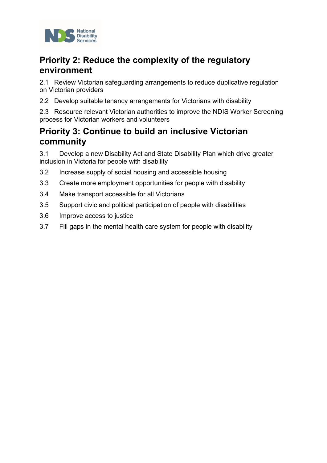

# **Priority 2: Reduce the complexity of the regulatory environment**

2.1 Review Victorian safeguarding arrangements to reduce duplicative regulation on Victorian providers

2.2 Develop suitable tenancy arrangements for Victorians with disability

2.3 Resource relevant Victorian authorities to improve the NDIS Worker Screening process for Victorian workers and volunteers

#### **Priority 3: Continue to build an inclusive Victorian community**

3.1 Develop a new Disability Act and State Disability Plan which drive greater inclusion in Victoria for people with disability

- 3.2 Increase supply of social housing and accessible housing
- 3.3 Create more employment opportunities for people with disability
- 3.4 Make transport accessible for all Victorians
- 3.5 Support civic and political participation of people with disabilities
- 3.6 Improve access to justice
- 3.7 Fill gaps in the mental health care system for people with disability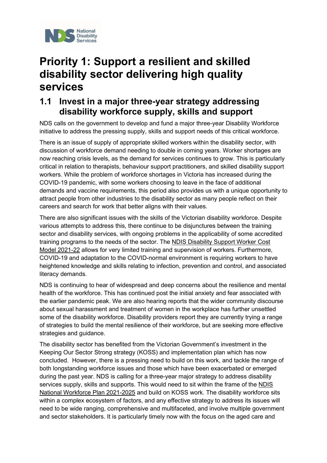

# <span id="page-6-0"></span>**Priority 1: Support a resilient and skilled disability sector delivering high quality services**

## <span id="page-6-1"></span>**1.1 Invest in a major three-year strategy addressing disability workforce supply, skills and support**

NDS calls on the government to develop and fund a major three-year Disability Workforce initiative to address the pressing supply, skills and support needs of this critical workforce.

There is an issue of supply of appropriate skilled workers within the disability sector, with discussion of workforce demand needing to double in coming years. Worker shortages are now reaching crisis levels, as the demand for services continues to grow. This is particularly critical in relation to therapists, behaviour support practitioners, and skilled disability support workers. While the problem of workforce shortages in Victoria has increased during the COVID-19 pandemic, with some workers choosing to leave in the face of additional demands and vaccine requirements, this period also provides us with a unique opportunity to attract people from other industries to the disability sector as many people reflect on their careers and search for work that better aligns with their values.

There are also significant issues with the skills of the Victorian disability workforce. Despite various attempts to address this, there continue to be disjunctures between the training sector and disability services, with ongoing problems in the applicability of some accredited training programs to the needs of the sector. The [NDIS Disability Support Worker Cost](https://www.ndis.gov.au/providers/pricing-arrangements#disability-support-worker-cost-model)  [Model 2021-22](https://www.ndis.gov.au/providers/pricing-arrangements#disability-support-worker-cost-model) allows for very limited training and supervision of workers. Furthermore, COVID-19 and adaptation to the COVID-normal environment is requiring workers to have heightened knowledge and skills relating to infection, prevention and control, and associated literacy demands.

NDS is continuing to hear of widespread and deep concerns about the resilience and mental health of the workforce. This has continued post the initial anxiety and fear associated with the earlier pandemic peak. We are also hearing reports that the wider community discourse about sexual harassment and treatment of women in the workplace has further unsettled some of the disability workforce. Disability providers report they are currently trying a range of strategies to build the mental resilience of their workforce, but are seeking more effective strategies and guidance.

The disability sector has benefited from the Victorian Government's investment in the Keeping Our Sector Strong strategy (KOSS) and implementation plan which has now concluded. However, there is a pressing need to build on this work, and tackle the range of both longstanding workforce issues and those which have been exacerbated or emerged during the past year. NDS is calling for a three-year major strategy to address disability services supply, skills and supports. This would need to sit within the frame of the [NDIS](https://www.dss.gov.au/disability-and-carers-publications-articles/ndis-national-workforce-plan-2021-2025)  [National Workforce Plan 2021-2025](https://www.dss.gov.au/disability-and-carers-publications-articles/ndis-national-workforce-plan-2021-2025) and build on KOSS work. The disability workforce sits within a complex ecosystem of factors, and any effective strategy to address its issues will need to be wide ranging, comprehensive and multifaceted, and involve multiple government and sector stakeholders. It is particularly timely now with the focus on the aged care and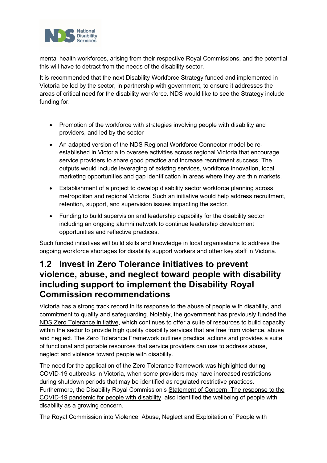

mental health workforces, arising from their respective Royal Commissions, and the potential this will have to detract from the needs of the disability sector.

It is recommended that the next Disability Workforce Strategy funded and implemented in Victoria be led by the sector, in partnership with government, to ensure it addresses the areas of critical need for the disability workforce. NDS would like to see the Strategy include funding for:

- Promotion of the workforce with strategies involving people with disability and providers, and led by the sector
- An adapted version of the NDS Regional Workforce Connector model be reestablished in Victoria to oversee activities across regional Victoria that encourage service providers to share good practice and increase recruitment success. The outputs would include leveraging of existing services, workforce innovation, local marketing opportunities and gap identification in areas where they are thin markets.
- Establishment of a project to develop disability sector workforce planning across metropolitan and regional Victoria. Such an initiative would help address recruitment, retention, support, and supervision issues impacting the sector.
- Funding to build supervision and leadership capability for the disability sector including an ongoing alumni network to continue leadership development opportunities and reflective practices.

Such funded initiatives will build skills and knowledge in local organisations to address the ongoing workforce shortages for disability support workers and other key staff in Victoria.

## <span id="page-7-0"></span>**1.2 Invest in Zero Tolerance initiatives to prevent violence, abuse, and neglect toward people with disability including support to implement the Disability Royal Commission recommendations**

Victoria has a strong track record in its response to the abuse of people with disability, and commitment to quality and safeguarding. Notably, the government has previously funded the [NDS Zero Tolerance initiative,](https://www.nds.org.au/resources/zero-tolerance) which continues to offer a suite of resources to build capacity within the sector to provide high quality disability services that are free from violence, abuse and neglect. The Zero Tolerance Framework outlines practical actions and provides a suite of functional and portable resources that service providers can use to address abuse, neglect and violence toward people with disability.

The need for the application of the Zero Tolerance framework was highlighted during COVID-19 outbreaks in Victoria, when some providers may have increased restrictions during shutdown periods that may be identified as regulated restrictive practices. Furthermore, the Disability Royal Commission's [Statement of Concern: The response to the](https://disability.royalcommission.gov.au/system/files/2020-03/COVID-19%20Statement%20of%20concern.pdf)  [COVID-19 pandemic for people with disability,](https://disability.royalcommission.gov.au/system/files/2020-03/COVID-19%20Statement%20of%20concern.pdf) also identified the wellbeing of people with disability as a growing concern.

The Royal Commission into Violence, Abuse, Neglect and Exploitation of People with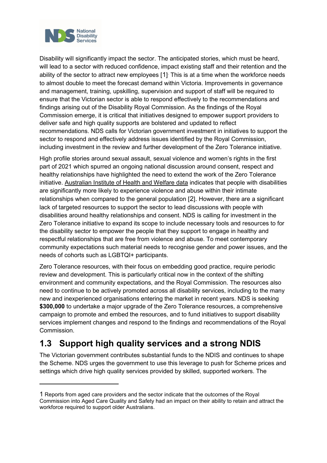

Disability will significantly impact the sector. The anticipated stories, which must be heard, will lead to a sector with reduced confidence, impact existing staff and their retention and the ability of the sector to attract new employees [[1](#page-8-1)] . This is at a time when the workforce needs to almost double to meet the forecast demand within Victoria. Improvements in governance and management, training, upskilling, supervision and support of staff will be required to ensure that the Victorian sector is able to respond effectively to the recommendations and findings arising out of the Disability Royal Commission. As the findings of the Royal Commission emerge, it is critical that initiatives designed to empower support providers to deliver safe and high quality supports are bolstered and updated to reflect recommendations. NDS calls for Victorian government investment in initiatives to support the sector to respond and effectively address issues identified by the Royal Commission, including investment in the review and further development of the Zero Tolerance initiative.

High profile stories around sexual assault, sexual violence and women's rights in the first part of 2021 which spurred an ongoing national discussion around consent, respect and healthy relationships have highlighted the need to extend the work of the Zero Tolerance initiative. [Australian Institute of Health and Welfare data](https://www.aihw.gov.au/reports/disability/people-with-disability-in-australia/contents/justice-and-safety/violence-against-people-with-disability) indicates that people with disabilities are significantly more likely to experience violence and abuse within their intimate relationships when compared to the general population [[2\]](#page-8-2). However, there are a significant lack of targeted resources to support the sector to lead discussions with people with disabilities around healthy relationships and consent. NDS is calling for investment in the Zero Tolerance initiative to expand its scope to include necessary tools and resources to for the disability sector to empower the people that they support to engage in healthy and respectful relationships that are free from violence and abuse. To meet contemporary community expectations such material needs to recognise gender and power issues, and the needs of cohorts such as LGBTQI+ participants.

Zero Tolerance resources, with their focus on embedding good practice, require periodic review and development. This is particularly critical now in the context of the shifting environment and community expectations, and the Royal Commission. The resources also need to continue to be actively promoted across all disability services, including to the many new and inexperienced organisations entering the market in recent years. NDS is seeking **\$300,000** to undertake a major upgrade of the Zero Tolerance resources, a comprehensive campaign to promote and embed the resources, and to fund initiatives to support disability services implement changes and respond to the findings and recommendations of the Royal **Commission** 

# <span id="page-8-0"></span>**1.3 Support high quality services and a strong NDIS**

The Victorian government contributes substantial funds to the NDIS and continues to shape the Scheme. NDS urges the government to use this leverage to push for Scheme prices and settings which drive high quality services provided by skilled, supported workers. The

<span id="page-8-2"></span><span id="page-8-1"></span><sup>1</sup> Reports from aged care providers and the sector indicate that the outcomes of the Royal Commission into Aged Care Quality and Safety had an impact on their ability to retain and attract the workforce required to support older Australians.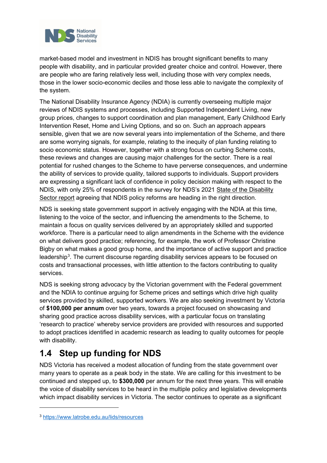

market-based model and investment in NDIS has brought significant benefits to many people with disability, and in particular provided greater choice and control. However, there are people who are faring relatively less well, including those with very complex needs, those in the lower socio-economic deciles and those less able to navigate the complexity of the system.

The National Disability Insurance Agency (NDIA) is currently overseeing multiple major reviews of NDIS systems and processes, including Supported Independent Living, new group prices, changes to support coordination and plan management, Early Childhood Early Intervention Reset, Home and Living Options, and so on. Such an approach appears sensible, given that we are now several years into implementation of the Scheme, and there are some worrying signals, for example, relating to the inequity of plan funding relating to socio economic status. However, together with a strong focus on curbing Scheme costs, these reviews and changes are causing major challenges for the sector. There is a real potential for rushed changes to the Scheme to have perverse consequences, and undermine the ability of services to provide quality, tailored supports to individuals. Support providers are expressing a significant lack of confidence in policy decision making with respect to the NDIS, with only 25% of respondents in the survey for NDS's 2021 [State of the Disability](https://www.nds.org.au/about/state-of-the-disability-sector-report)  [Sector report](https://www.nds.org.au/about/state-of-the-disability-sector-report) agreeing that NDIS policy reforms are heading in the right direction.

NDS is seeking state government support in actively engaging with the NDIA at this time, listening to the voice of the sector, and influencing the amendments to the Scheme, to maintain a focus on quality services delivered by an appropriately skilled and supported workforce. There is a particular need to align amendments in the Scheme with the evidence on what delivers good practice; referencing, for example, the work of Professor Christine Bigby on what makes a good group home, and the importance of active support and practice leadership<sup>[3](#page-9-1)</sup>. The current discourse regarding disability services appears to be focused on costs and transactional processes, with little attention to the factors contributing to quality services.

NDS is seeking strong advocacy by the Victorian government with the Federal government and the NDIA to continue arguing for Scheme prices and settings which drive high quality services provided by skilled, supported workers. We are also seeking investment by Victoria of **\$100,000 per annum** over two years, towards a project focused on showcasing and sharing good practice across disability services, with a particular focus on translating 'research to practice' whereby service providers are provided with resources and supported to adopt practices identified in academic research as leading to quality outcomes for people with disability.

# <span id="page-9-0"></span>**1.4 Step up funding for NDS**

NDS Victoria has received a modest allocation of funding from the state government over many years to operate as a peak body in the state. We are calling for this investment to be continued and stepped up, to **\$300,000** per annum for the next three years. This will enable the voice of disability services to be heard in the multiple policy and legislative developments which impact disability services in Victoria. The sector continues to operate as a significant

<span id="page-9-1"></span><sup>3</sup> <https://www.latrobe.edu.au/lids/resources>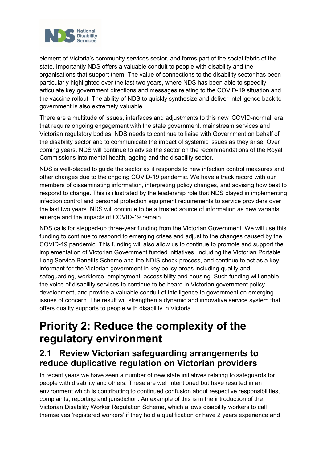

element of Victoria's community services sector, and forms part of the social fabric of the state. Importantly NDS offers a valuable conduit to people with disability and the organisations that support them. The value of connections to the disability sector has been particularly highlighted over the last two years, where NDS has been able to speedily articulate key government directions and messages relating to the COVID-19 situation and the vaccine rollout. The ability of NDS to quickly synthesize and deliver intelligence back to government is also extremely valuable.

There are a multitude of issues, interfaces and adjustments to this new 'COVID-normal' era that require ongoing engagement with the state government, mainstream services and Victorian regulatory bodies. NDS needs to continue to liaise with Government on behalf of the disability sector and to communicate the impact of systemic issues as they arise. Over coming years, NDS will continue to advise the sector on the recommendations of the Royal Commissions into mental health, ageing and the disability sector.

NDS is well-placed to guide the sector as it responds to new infection control measures and other changes due to the ongoing COVID-19 pandemic. We have a track record with our members of disseminating information, interpreting policy changes, and advising how best to respond to change. This is illustrated by the leadership role that NDS played in implementing infection control and personal protection equipment requirements to service providers over the last two years. NDS will continue to be a trusted source of information as new variants emerge and the impacts of COVID-19 remain.

NDS calls for stepped-up three-year funding from the Victorian Government. We will use this funding to continue to respond to emerging crises and adjust to the changes caused by the COVID-19 pandemic. This funding will also allow us to continue to promote and support the implementation of Victorian Government funded initiatives, including the Victorian Portable Long Service Benefits Scheme and the NDIS check process, and continue to act as a key informant for the Victorian government in key policy areas including quality and safeguarding, workforce, employment, accessibility and housing. Such funding will enable the voice of disability services to continue to be heard in Victorian government policy development, and provide a valuable conduit of intelligence to government on emerging issues of concern. The result will strengthen a dynamic and innovative service system that offers quality supports to people with disability in Victoria.

# <span id="page-10-0"></span>**Priority 2: Reduce the complexity of the regulatory environment**

## <span id="page-10-1"></span>**2.1 Review Victorian safeguarding arrangements to reduce duplicative regulation on Victorian providers**

In recent years we have seen a number of new state initiatives relating to safeguards for people with disability and others. These are well intentioned but have resulted in an environment which is contributing to continued confusion about respective responsibilities, complaints, reporting and jurisdiction. An example of this is in the introduction of the Victorian Disability Worker Regulation Scheme, which allows disability workers to call themselves 'registered workers' if they hold a qualification or have 2 years experience and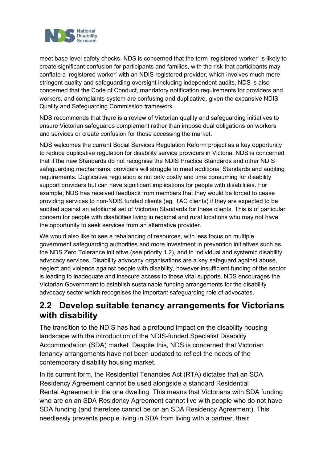

meet base level safety checks. NDS is concerned that the term 'registered worker' is likely to create significant confusion for participants and families, with the risk that participants may conflate a 'registered worker' with an NDIS registered provider, which involves much more stringent quality and safeguarding oversight including independent audits. NDS is also concerned that the Code of Conduct, mandatory notification requirements for providers and workers, and complaints system are confusing and duplicative, given the expansive NDIS Quality and Safeguarding Commission framework.

NDS recommends that there is a review of Victorian quality and safeguarding initiatives to ensure Victorian safeguards complement rather than impose dual obligations on workers and services or create confusion for those accessing the market.

NDS welcomes the current Social Services Regulation Reform project as a key opportunity to reduce duplicative regulation for disability service providers in Victoria. NDS is concerned that if the new Standards do not recognise the NDIS Practice Standards and other NDIS safeguarding mechanisms, providers will struggle to meet additional Standards and auditing requirements. Duplicative regulation is not only costly and time consuming for disability support providers but can have significant implications for people with disabilities. For example, NDS has received feedback from members that they would be forced to cease providing services to non-NDIS funded clients (eg. TAC clients) if they are expected to be audited against an additional set of Victorian Standards for these clients. This is of particular concern for people with disabilities living in regional and rural locations who may not have the opportunity to seek services from an alternative provider.

We would also like to see a rebalancing of resources, with less focus on multiple government safeguarding authorities and more investment in prevention initiatives such as the NDS Zero Tolerance initiative (see priority 1.2), and in individual and systemic disability advocacy services. Disability advocacy organisations are a key safeguard against abuse, neglect and violence against people with disability, however insufficient funding of the sector is leading to inadequate and insecure access to these vital supports. NDS encourages the Victorian Government to establish sustainable funding arrangements for the disability advocacy sector which recognises the important safeguarding role of advocates.

#### <span id="page-11-0"></span>**2.2 Develop suitable tenancy arrangements for Victorians with disability**

The transition to the NDIS has had a profound impact on the disability housing landscape with the introduction of the NDIS-funded Specialist Disability Accommodation (SDA) market. Despite this, NDS is concerned that Victorian tenancy arrangements have not been updated to reflect the needs of the contemporary disability housing market.

In its current form, the Residential Tenancies Act (RTA) dictates that an SDA Residency Agreement cannot be used alongside a standard Residential Rental Agreement in the one dwelling. This means that Victorians with SDA funding who are on an SDA Residency Agreement cannot live with people who do not have SDA funding (and therefore cannot be on an SDA Residency Agreement). This needlessly prevents people living in SDA from living with a partner, their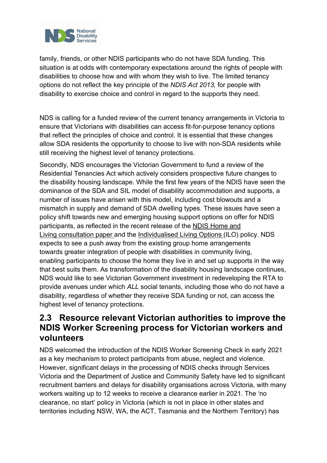

family, friends, or other NDIS participants who do not have SDA funding. This situation is at odds with contemporary expectations around the rights of people with disabilities to choose how and with whom they wish to live. The limited tenancy options do not reflect the key principle of the *NDIS Act 2013,* for people with disability to exercise choice and control in regard to the supports they need.

NDS is calling for a funded review of the current tenancy arrangements in Victoria to ensure that Victorians with disabilities can access fit-for-purpose tenancy options that reflect the principles of choice and control. It is essential that these changes allow SDA residents the opportunity to choose to live with non-SDA residents while still receiving the highest level of tenancy protections.

Secondly, NDS encourages the Victorian Government to fund a review of the Residential Tenancies Act which actively considers prospective future changes to the disability housing landscape. While the first few years of the NDIS have seen the dominance of the SDA and SIL model of disability accommodation and supports, a number of issues have arisen with this model, including cost blowouts and a mismatch in supply and demand of SDA dwelling types. These issues have seen a policy shift towards new and emerging housing support options on offer for NDIS participants, as reflected in the recent release of the NDIS [Home and](https://www.ndis.gov.au/community/have-your-say/home-and-living-consultation-ordinary-life-home)  Living [consultation paper](https://www.ndis.gov.au/community/have-your-say/home-and-living-consultation-ordinary-life-home) and the Individualised [Living Options](https://www.ndis.gov.au/participants/home-and-living/individualised-living-options) (ILO) policy. NDS expects to see a push away from the existing group home arrangements towards greater integration of people with disabilities in community living, enabling participants to choose the home they live in and set up supports in the way that best suits them. As transformation of the disability housing landscape continues, NDS would like to see Victorian Government investment in redeveloping the RTA to provide avenues under which *ALL* social tenants, including those who do not have a disability, regardless of whether they receive SDA funding or not, can access the highest level of tenancy protections.

## <span id="page-12-0"></span>**2.3 Resource relevant Victorian authorities to improve the NDIS Worker Screening process for Victorian workers and volunteers**

NDS welcomed the introduction of the NDIS Worker Screening Check in early 2021 as a key mechanism to protect participants from abuse, neglect and violence. However, significant delays in the processing of NDIS checks through Services Victoria and the Department of Justice and Community Safety have led to significant recruitment barriers and delays for disability organisations across Victoria, with many workers waiting up to 12 weeks to receive a clearance earlier in 2021. The 'no clearance, no start' policy in Victoria (which is not in place in other states and territories including NSW, WA, the ACT, Tasmania and the Northern Territory) has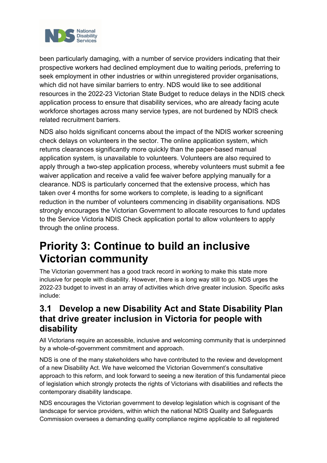

been particularly damaging, with a number of service providers indicating that their prospective workers had declined employment due to waiting periods, preferring to seek employment in other industries or within unregistered provider organisations, which did not have similar barriers to entry. NDS would like to see additional resources in the 2022-23 Victorian State Budget to reduce delays in the NDIS check application process to ensure that disability services, who are already facing acute workforce shortages across many service types, are not burdened by NDIS check related recruitment barriers.

NDS also holds significant concerns about the impact of the NDIS worker screening check delays on volunteers in the sector. The online application system, which returns clearances significantly more quickly than the paper-based manual application system, is unavailable to volunteers. Volunteers are also required to apply through a two-step application process, whereby volunteers must submit a fee waiver application and receive a valid fee waiver before applying manually for a clearance. NDS is particularly concerned that the extensive process, which has taken over 4 months for some workers to complete, is leading to a significant reduction in the number of volunteers commencing in disability organisations. NDS strongly encourages the Victorian Government to allocate resources to fund updates to the Service Victoria NDIS Check application portal to allow volunteers to apply through the online process.

# <span id="page-13-0"></span>**Priority 3: Continue to build an inclusive Victorian community**

The Victorian government has a good track record in working to make this state more inclusive for people with disability. However, there is a long way still to go. NDS urges the 2022-23 budget to invest in an array of activities which drive greater inclusion. Specific asks include:

# <span id="page-13-1"></span>**3.1 Develop a new Disability Act and State Disability Plan that drive greater inclusion in Victoria for people with disability**

All Victorians require an accessible, inclusive and welcoming community that is underpinned by a whole-of-government commitment and approach.

NDS is one of the many stakeholders who have contributed to the review and development of a new Disability Act. We have welcomed the Victorian Government's consultative approach to this reform, and look forward to seeing a new iteration of this fundamental piece of legislation which strongly protects the rights of Victorians with disabilities and reflects the contemporary disability landscape.

NDS encourages the Victorian government to develop legislation which is cognisant of the landscape for service providers, within which the national NDIS Quality and Safeguards Commission oversees a demanding quality compliance regime applicable to all registered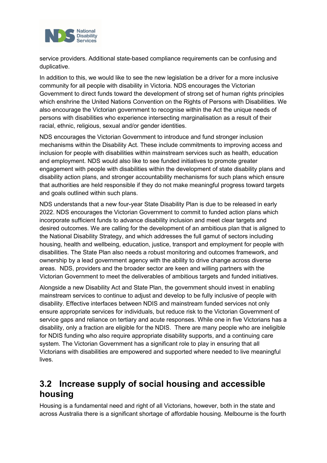

service providers. Additional state-based compliance requirements can be confusing and duplicative.

In addition to this, we would like to see the new legislation be a driver for a more inclusive community for all people with disability in Victoria. NDS encourages the Victorian Government to direct funds toward the development of strong set of human rights principles which enshrine the United Nations Convention on the Rights of Persons with Disabilities. We also encourage the Victorian government to recognise within the Act the unique needs of persons with disabilities who experience intersecting marginalisation as a result of their racial, ethnic, religious, sexual and/or gender identities.

NDS encourages the Victorian Government to introduce and fund stronger inclusion mechanisms within the Disability Act. These include commitments to improving access and inclusion for people with disabilities within mainstream services such as health, education and employment. NDS would also like to see funded initiatives to promote greater engagement with people with disabilities within the development of state disability plans and disability action plans, and stronger accountability mechanisms for such plans which ensure that authorities are held responsible if they do not make meaningful progress toward targets and goals outlined within such plans.

NDS understands that a new four-year State Disability Plan is due to be released in early 2022. NDS encourages the Victorian Government to commit to funded action plans which incorporate sufficient funds to advance disability inclusion and meet clear targets and desired outcomes. We are calling for the development of an ambitious plan that is aligned to the National Disability Strategy, and which addresses the full gamut of sectors including housing, health and wellbeing, education, justice, transport and employment for people with disabilities. The State Plan also needs a robust monitoring and outcomes framework, and ownership by a lead government agency with the ability to drive change across diverse areas. NDS, providers and the broader sector are keen and willing partners with the Victorian Government to meet the deliverables of ambitious targets and funded initiatives.

Alongside a new Disability Act and State Plan, the government should invest in enabling mainstream services to continue to adjust and develop to be fully inclusive of people with disability. Effective interfaces between NDIS and mainstream funded services not only ensure appropriate services for individuals, but reduce risk to the Victorian Government of service gaps and reliance on tertiary and acute responses. While one in five Victorians has a disability, only a fraction are eligible for the NDIS. There are many people who are ineligible for NDIS funding who also require appropriate disability supports, and a continuing care system. The Victorian Government has a significant role to play in ensuring that all Victorians with disabilities are empowered and supported where needed to live meaningful lives.

## <span id="page-14-0"></span>**3.2 Increase supply of social housing and accessible housing**

Housing is a fundamental need and right of all Victorians, however, both in the state and across Australia there is a significant shortage of affordable housing. Melbourne is the fourth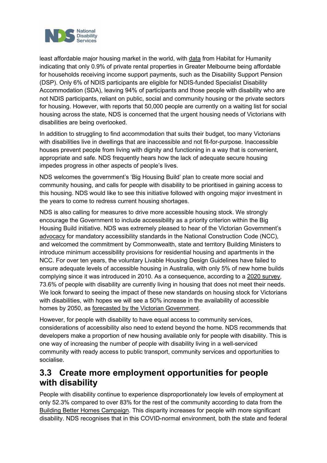

least affordable major housing market in the world, with [data](https://www.habitatvic.org.au/victorias-housing-crisis#:%7E:text=In%20Victoria%20alone%2C%20there) from Habitat for Humanity indicating that only 0.9% of private rental properties in Greater Melbourne being affordable for households receiving income support payments, such as the Disability Support Pension (DSP). Only 6% of NDIS participants are eligible for NDIS-funded Specialist Disability Accommodation (SDA), leaving 94% of participants and those people with disability who are not NDIS participants, reliant on public, social and community housing or the private sectors for housing. However, with reports that 50,000 people are currently on a waiting list for social housing across the state, NDS is concerned that the urgent housing needs of Victorians with disabilities are being overlooked.

In addition to struggling to find accommodation that suits their budget, too many Victorians with disabilities live in dwellings that are inaccessible and not fit-for-purpose. Inaccessible houses prevent people from living with dignity and functioning in a way that is convenient, appropriate and safe. NDS frequently hears how the lack of adequate secure housing impedes progress in other aspects of people's lives.

NDS welcomes the government's 'Big Housing Build' plan to create more social and community housing, and calls for people with disability to be prioritised in gaining access to this housing. NDS would like to see this initiative followed with ongoing major investment in the years to come to redress current housing shortages.

NDS is also calling for measures to drive more accessible housing stock. We strongly encourage the Government to include accessibility as a priority criterion within the Big Housing Build initiative. NDS was extremely pleased to hear of the Victorian Government's [advocacy](https://www.premier.vic.gov.au/victoria-pushing-accessible-housing-standards) for mandatory accessibility standards in the National Construction Code (NCC), and welcomed the commitment by Commonwealth, state and territory Building Ministers to introduce minimum accessibility provisions for residential housing and apartments in the NCC. For over ten years, the voluntary Livable Housing Design Guidelines have failed to ensure adequate levels of accessible housing in Australia, with only 5% of new home builds complying since it was introduced in 2010. As a consequence, according to a [2020 survey,](https://www.buildingbetterhomes.org.au/mission.html) 73.6% of people with disability are currently living in housing that does not meet their needs. We look forward to seeing the impact of these new standards on housing stock for Victorians with disabilities, with hopes we will see a 50% increase in the availability of accessible homes by 2050, as [forecasted by the Victorian Government.](https://www.premier.vic.gov.au/victoria-pushing-accessible-housing-standards)

However, for people with disability to have equal access to community services, considerations of accessibility also need to extend beyond the home. NDS recommends that developers make a proportion of new housing available only for people with disability. This is one way of increasing the number of people with disability living in a well-serviced community with ready access to public transport, community services and opportunities to socialise.

#### <span id="page-15-0"></span>**3.3 Create more employment opportunities for people with disability**

People with disability continue to experience disproportionately low levels of employment at only 52.3% compared to over 83% for the rest of the community according to data from the [Building Better Homes Campaign.](https://www.buildingbetterhodames.org.au/mission.html) This disparity increases for people with more significant disability. NDS recognises that in this COVID-normal environment, both the state and federal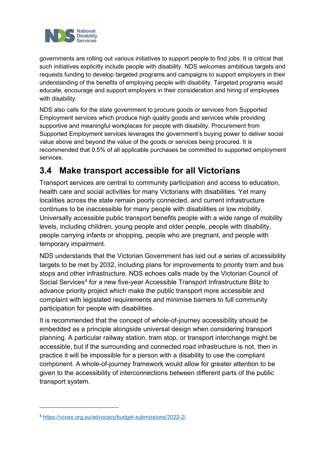

governments are rolling out various initiatives to support people to find jobs. It is critical that such initiatives explicitly include people with disability. NDS welcomes ambitious targets and requests funding to develop targeted programs and campaigns to support employers in their understanding of the benefits of employing people with disability. Targeted programs would educate, encourage and support employers in their consideration and hiring of employees with disability.

NDS also calls for the state government to procure goods or services from Supported Employment services which produce high quality goods and services while providing supportive and meaningful workplaces for people with disability. Procurement from Supported Employment services leverages the government's buying power to deliver social value above and beyond the value of the goods or services being procured. It is recommended that 0.5% of all applicable purchases be committed to supported employment services.

# <span id="page-16-0"></span>**3.4 Make transport accessible for all Victorians**

Transport services are central to community participation and access to education, health care and social activities for many Victorians with disabilities. Yet many localities across the state remain poorly connected, and current infrastructure continues to be inaccessible for many people with disabilities or low mobility. Universally accessible public transport benefits people with a wide range of mobility levels, including children, young people and older people, people with disability, people carrying infants or shopping, people who are pregnant, and people with temporary impairment.

NDS understands that the Victorian Government has laid out a series of accessibility targets to be met by 2032, including plans for improvements to priority tram and bus stops and other infrastructure. NDS echoes calls made by the Victorian Council of Social Services<sup>[4](#page-16-1)</sup> for a new five-year Accessible Transport Infrastructure Blitz to advance priority project which make the public transport more accessible and complaint with legislated requirements and minimise barriers to full community participation for people with disabilities.

It is recommended that the concept of whole-of-journey accessibility should be embedded as a principle alongside universal design when considering transport planning. A particular railway station, tram stop, or transport interchange might be accessible, but if the surrounding and connected road infrastructure is not, then in practice it will be impossible for a person with a disability to use the compliant component. A whole-of-journey framework would allow for greater attention to be given to the accessibility of interconnections between different parts of the public transport system.

<span id="page-16-1"></span><sup>4</sup> <https://vcoss.org.au/advocacy/budget-submissions/2022-2/>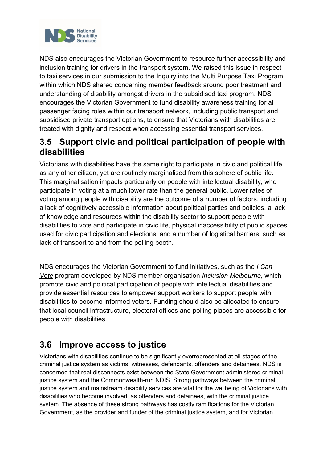

NDS also encourages the Victorian Government to resource further accessibility and inclusion training for drivers in the transport system. We raised this issue in respect to taxi services in our submission to the Inquiry into the Multi Purpose Taxi Program, within which NDS shared concerning member feedback around poor treatment and understanding of disability amongst drivers in the subsidised taxi program. NDS encourages the Victorian Government to fund disability awareness training for all passenger facing roles within our transport network, including public transport and subsidised private transport options, to ensure that Victorians with disabilities are treated with dignity and respect when accessing essential transport services.

#### <span id="page-17-0"></span>**3.5 Support civic and political participation of people with disabilities**

Victorians with disabilities have the same right to participate in civic and political life as any other citizen, yet are routinely marginalised from this sphere of public life. This marginalisation impacts particularly on people with intellectual disability, who participate in voting at a much lower rate than the general public. Lower rates of voting among people with disability are the outcome of a number of factors, including a lack of cognitively accessible information about political parties and policies, a lack of knowledge and resources within the disability sector to support people with disabilities to vote and participate in civic life, physical inaccessibility of public spaces used for civic participation and elections, and a number of logistical barriers, such as lack of transport to and from the polling booth.

NDS encourages the Victorian Government to fund initiatives, such as the *[I Can](https://icanvote.org.au/)  [Vote](https://icanvote.org.au/)* program developed by NDS member organisation *Inclusion Melbourne,* which promote civic and political participation of people with intellectual disabilities and provide essential resources to empower support workers to support people with disabilities to become informed voters. Funding should also be allocated to ensure that local council infrastructure, electoral offices and polling places are accessible for people with disabilities.

## <span id="page-17-1"></span>**3.6 Improve access to justice**

Victorians with disabilities continue to be significantly overrepresented at all stages of the criminal justice system as victims, witnesses, defendants, offenders and detainees. NDS is concerned that real disconnects exist between the State Government administered criminal justice system and the Commonwealth-run NDIS. Strong pathways between the criminal justice system and mainstream disability services are vital for the wellbeing of Victorians with disabilities who become involved, as offenders and detainees, with the criminal justice system. The absence of these strong pathways has costly ramifications for the Victorian Government, as the provider and funder of the criminal justice system, and for Victorian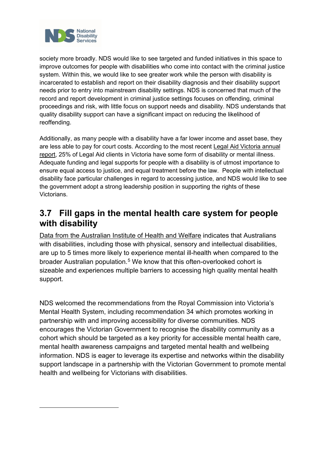

society more broadly. NDS would like to see targeted and funded initiatives in this space to improve outcomes for people with disabilities who come into contact with the criminal justice system. Within this, we would like to see greater work while the person with disability is incarcerated to establish and report on their disability diagnosis and their disability support needs prior to entry into mainstream disability settings. NDS is concerned that much of the record and report development in criminal justice settings focuses on offending, criminal proceedings and risk, with little focus on support needs and disability. NDS understands that quality disability support can have a significant impact on reducing the likelihood of reoffending.

Additionally, as many people with a disability have a far lower income and asset base, they are less able to pay for court costs. According to the most recent [Legal Aid Victoria annual](https://www.legalaid.vic.gov.au/sites/www.legalaid.vic.gov.au/files/vla-annual-report-2019-2020.pdf)  [report,](https://www.legalaid.vic.gov.au/sites/www.legalaid.vic.gov.au/files/vla-annual-report-2019-2020.pdf) 25% of Legal Aid clients in Victoria have some form of disability or mental illness. Adequate funding and legal supports for people with a disability is of utmost importance to ensure equal access to justice, and equal treatment before the law. People with intellectual disability face particular challenges in regard to accessing justice, and NDS would like to see the government adopt a strong leadership position in supporting the rights of these Victorians.

#### <span id="page-18-0"></span>**3.7 Fill gaps in the mental health care system for people with disability**

[Data from the Australian Institute of Health and Welfare](https://www.aihw.gov.au/reports/australias-health/health-of-people-with-disability) indicates that Australians with disabilities, including those with physical, sensory and intellectual disabilities, are up to 5 times more likely to experience mental ill-health when compared to the broader Australian population.[5](#page-18-1) We know that this often-overlooked cohort is sizeable and experiences multiple barriers to accessing high quality mental health support.

<span id="page-18-1"></span>NDS welcomed the recommendations from the Royal Commission into Victoria's Mental Health System, including recommendation 34 which promotes working in partnership with and improving accessibility for diverse communities. NDS encourages the Victorian Government to recognise the disability community as a cohort which should be targeted as a key priority for accessible mental health care, mental health awareness campaigns and targeted mental health and wellbeing information. NDS is eager to leverage its expertise and networks within the disability support landscape in a partnership with the Victorian Government to promote mental health and wellbeing for Victorians with disabilities.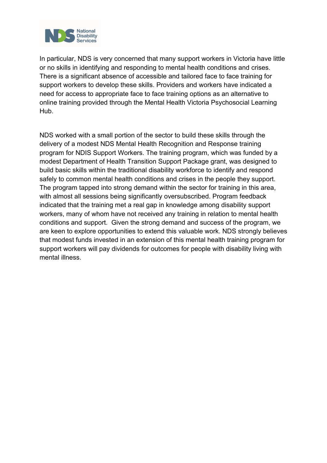

In particular, NDS is very concerned that many support workers in Victoria have little or no skills in identifying and responding to mental health conditions and crises. There is a significant absence of accessible and tailored face to face training for support workers to develop these skills. Providers and workers have indicated a need for access to appropriate face to face training options as an alternative to online training provided through the Mental Health Victoria Psychosocial Learning Hub.

NDS worked with a small portion of the sector to build these skills through the delivery of a modest NDS Mental Health Recognition and Response training program for NDIS Support Workers. The training program, which was funded by a modest Department of Health Transition Support Package grant, was designed to build basic skills within the traditional disability workforce to identify and respond safely to common mental health conditions and crises in the people they support. The program tapped into strong demand within the sector for training in this area, with almost all sessions being significantly oversubscribed. Program feedback indicated that the training met a real gap in knowledge among disability support workers, many of whom have not received any training in relation to mental health conditions and support. Given the strong demand and success of the program, we are keen to explore opportunities to extend this valuable work. NDS strongly believes that modest funds invested in an extension of this mental health training program for support workers will pay dividends for outcomes for people with disability living with mental illness.